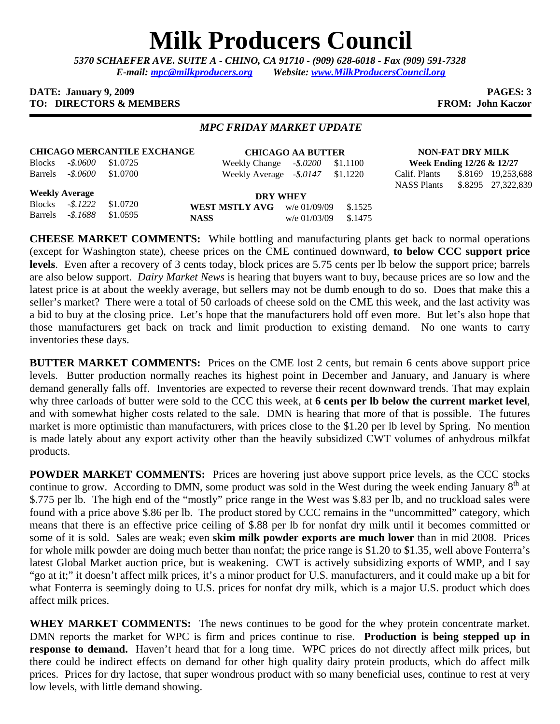## **Milk Producers Council**

*5370 SCHAEFER AVE. SUITE A* **-** *CHINO, CA 91710 - (909) 628-6018 - Fax (909) 591-7328 E-mail: mpc@milkproducers.org Website: www.MilkProducersCouncil.org* 

## **DATE:** January 9, 2009 **PAGES: 3 TO: DIRECTORS & MEMBERS FROM: John Kaczor**

## *MPC FRIDAY MARKET UPDATE*

| <b>CHICAGO MERCANTILE EXCHANGE</b> |                            |  |  |  |  |  |  |  |
|------------------------------------|----------------------------|--|--|--|--|--|--|--|
|                                    | Blocks - \$.0600 \$1.0725  |  |  |  |  |  |  |  |
|                                    | Barrels - \$.0600 \$1.0700 |  |  |  |  |  |  |  |

**CHICAGO AA BUTTER** Weekly Change *-\$.0200* \$1.1100 Weekly Average *-\$.0147* \$1.1220

**NON-FAT DRY MILK Week Ending 12/26 & 12/27** Calif. Plants \$.8169 19,253,688 NASS Plants \$.8295 27,322,839

**Weekly Average** Blocks *-\$.1222* \$1.0720 Barrels *-\$.1688* \$1.0595

**DRY WHEY WEST MSTLY AVG** w/e 01/09/09 \$.1525 **NASS** w/e 01/03/09 \$.1475

**CHEESE MARKET COMMENTS:** While bottling and manufacturing plants get back to normal operations (except for Washington state), cheese prices on the CME continued downward, **to below CCC support price levels**. Even after a recovery of 3 cents today, block prices are 5.75 cents per lb below the support price; barrels are also below support. *Dairy Market News* is hearing that buyers want to buy, because prices are so low and the latest price is at about the weekly average, but sellers may not be dumb enough to do so. Does that make this a seller's market? There were a total of 50 carloads of cheese sold on the CME this week, and the last activity was a bid to buy at the closing price. Let's hope that the manufacturers hold off even more. But let's also hope that those manufacturers get back on track and limit production to existing demand. No one wants to carry inventories these days.

**BUTTER MARKET COMMENTS:** Prices on the CME lost 2 cents, but remain 6 cents above support price levels. Butter production normally reaches its highest point in December and January, and January is where demand generally falls off. Inventories are expected to reverse their recent downward trends. That may explain why three carloads of butter were sold to the CCC this week, at **6 cents per lb below the current market level**, and with somewhat higher costs related to the sale. DMN is hearing that more of that is possible. The futures market is more optimistic than manufacturers, with prices close to the \$1.20 per lb level by Spring. No mention is made lately about any export activity other than the heavily subsidized CWT volumes of anhydrous milkfat products.

**POWDER MARKET COMMENTS:** Prices are hovering just above support price levels, as the CCC stocks continue to grow. According to DMN, some product was sold in the West during the week ending January  $8<sup>th</sup>$  at \$.775 per lb. The high end of the "mostly" price range in the West was \$.83 per lb, and no truckload sales were found with a price above \$.86 per lb. The product stored by CCC remains in the "uncommitted" category, which means that there is an effective price ceiling of \$.88 per lb for nonfat dry milk until it becomes committed or some of it is sold. Sales are weak; even **skim milk powder exports are much lower** than in mid 2008. Prices for whole milk powder are doing much better than nonfat; the price range is \$1.20 to \$1.35, well above Fonterra's latest Global Market auction price, but is weakening. CWT is actively subsidizing exports of WMP, and I say "go at it;" it doesn't affect milk prices, it's a minor product for U.S. manufacturers, and it could make up a bit for what Fonterra is seemingly doing to U.S. prices for nonfat dry milk, which is a major U.S. product which does affect milk prices.

WHEY MARKET COMMENTS: The news continues to be good for the whey protein concentrate market. DMN reports the market for WPC is firm and prices continue to rise. **Production is being stepped up in response to demand.** Haven't heard that for a long time. WPC prices do not directly affect milk prices, but there could be indirect effects on demand for other high quality dairy protein products, which do affect milk prices. Prices for dry lactose, that super wondrous product with so many beneficial uses, continue to rest at very low levels, with little demand showing.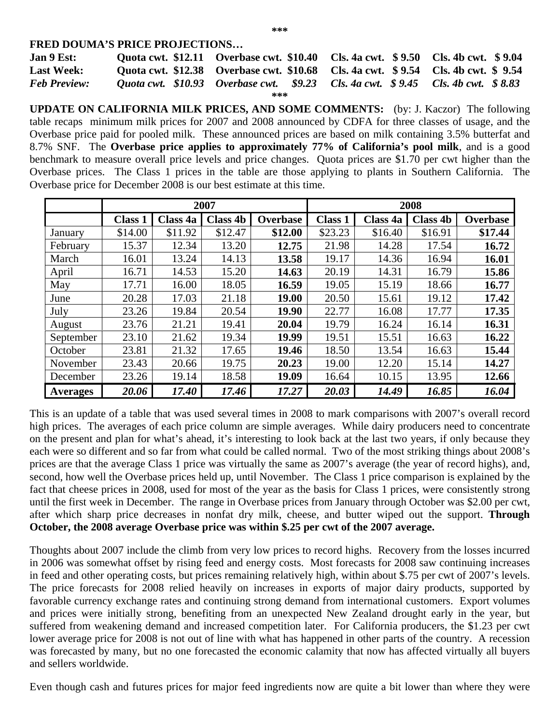## **FRED DOUMA'S PRICE PROJECTIONS…**

| Jan 9 Est:          |  | Quota cwt. \$12.11 Overbase cwt. \$10.40 Cls. 4a cwt. \$9.50 Cls. 4b cwt. \$9.04 |  |  |  |  |  |  |
|---------------------|--|----------------------------------------------------------------------------------|--|--|--|--|--|--|
| <b>Last Week:</b>   |  | Quota cwt. \$12.38 Overbase cwt. \$10.68 Cls. 4a cwt. \$9.54 Cls. 4b cwt. \$9.54 |  |  |  |  |  |  |
| <b>Feb Preview:</b> |  | Ouota cwt. \$10.93 Overbase cwt. \$9.23 Cls. 4a cwt. \$9.45 Cls. 4b cwt. \$8.83  |  |  |  |  |  |  |
| ***                 |  |                                                                                  |  |  |  |  |  |  |

**UPDATE ON CALIFORNIA MILK PRICES, AND SOME COMMENTS:** (by: J. Kaczor) The following table recaps minimum milk prices for 2007 and 2008 announced by CDFA for three classes of usage, and the Overbase price paid for pooled milk. These announced prices are based on milk containing 3.5% butterfat and 8.7% SNF. The **Overbase price applies to approximately 77% of California's pool milk**, and is a good benchmark to measure overall price levels and price changes. Quota prices are \$1.70 per cwt higher than the Overbase prices. The Class 1 prices in the table are those applying to plants in Southern California.The Overbase price for December 2008 is our best estimate at this time.

|                 | 2007           |          |                 |                 | 2008           |          |                 |                 |
|-----------------|----------------|----------|-----------------|-----------------|----------------|----------|-----------------|-----------------|
|                 | <b>Class 1</b> | Class 4a | <b>Class 4b</b> | <b>Overbase</b> | <b>Class 1</b> | Class 4a | <b>Class 4b</b> | <b>Overbase</b> |
| January         | \$14.00        | \$11.92  | \$12.47         | \$12.00         | \$23.23        | \$16.40  | \$16.91         | \$17.44         |
| February        | 15.37          | 12.34    | 13.20           | 12.75           | 21.98          | 14.28    | 17.54           | 16.72           |
| March           | 16.01          | 13.24    | 14.13           | 13.58           | 19.17          | 14.36    | 16.94           | 16.01           |
| April           | 16.71          | 14.53    | 15.20           | 14.63           | 20.19          | 14.31    | 16.79           | 15.86           |
| May             | 17.71          | 16.00    | 18.05           | 16.59           | 19.05          | 15.19    | 18.66           | 16.77           |
| June            | 20.28          | 17.03    | 21.18           | 19.00           | 20.50          | 15.61    | 19.12           | 17.42           |
| July            | 23.26          | 19.84    | 20.54           | 19.90           | 22.77          | 16.08    | 17.77           | 17.35           |
| August          | 23.76          | 21.21    | 19.41           | 20.04           | 19.79          | 16.24    | 16.14           | 16.31           |
| September       | 23.10          | 21.62    | 19.34           | 19.99           | 19.51          | 15.51    | 16.63           | 16.22           |
| October         | 23.81          | 21.32    | 17.65           | 19.46           | 18.50          | 13.54    | 16.63           | 15.44           |
| November        | 23.43          | 20.66    | 19.75           | 20.23           | 19.00          | 12.20    | 15.14           | 14.27           |
| December        | 23.26          | 19.14    | 18.58           | 19.09           | 16.64          | 10.15    | 13.95           | 12.66           |
| <b>Averages</b> | 20.06          | 17.40    | 17.46           | 17.27           | 20.03          | 14.49    | 16.85           | 16.04           |

This is an update of a table that was used several times in 2008 to mark comparisons with 2007's overall record high prices. The averages of each price column are simple averages. While dairy producers need to concentrate on the present and plan for what's ahead, it's interesting to look back at the last two years, if only because they each were so different and so far from what could be called normal. Two of the most striking things about 2008's prices are that the average Class 1 price was virtually the same as 2007's average (the year of record highs), and, second, how well the Overbase prices held up, until November. The Class 1 price comparison is explained by the fact that cheese prices in 2008, used for most of the year as the basis for Class 1 prices, were consistently strong until the first week in December. The range in Overbase prices from January through October was \$2.00 per cwt, after which sharp price decreases in nonfat dry milk, cheese, and butter wiped out the support. **Through October, the 2008 average Overbase price was within \$.25 per cwt of the 2007 average.** 

Thoughts about 2007 include the climb from very low prices to record highs. Recovery from the losses incurred in 2006 was somewhat offset by rising feed and energy costs. Most forecasts for 2008 saw continuing increases in feed and other operating costs, but prices remaining relatively high, within about \$.75 per cwt of 2007's levels. The price forecasts for 2008 relied heavily on increases in exports of major dairy products, supported by favorable currency exchange rates and continuing strong demand from international customers. Export volumes and prices were initially strong, benefiting from an unexpected New Zealand drought early in the year, but suffered from weakening demand and increased competition later. For California producers, the \$1.23 per cwt lower average price for 2008 is not out of line with what has happened in other parts of the country. A recession was forecasted by many, but no one forecasted the economic calamity that now has affected virtually all buyers and sellers worldwide.

Even though cash and futures prices for major feed ingredients now are quite a bit lower than where they were